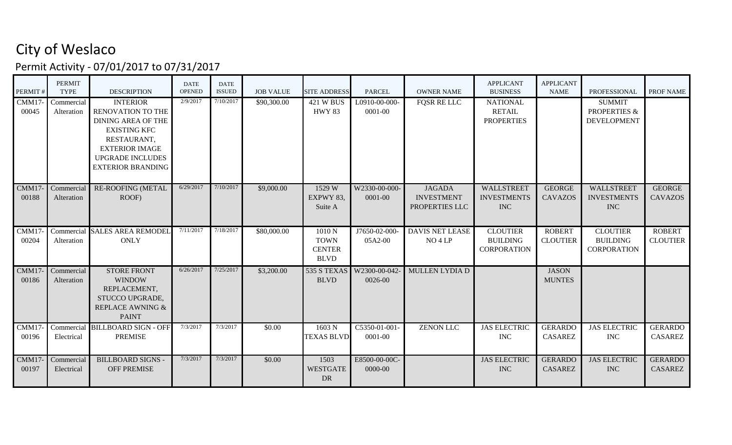## City of Weslaco

Permit Activity - 07/01/2017 to 07/31/2017

| PERMIT#        | <b>PERMIT</b><br><b>TYPE</b> | <b>DESCRIPTION</b>                                                                                                                                                                             | <b>DATE</b><br><b>OPENED</b> | <b>DATE</b><br><b>ISSUED</b> | <b>JOB VALUE</b> | <b>SITE ADDRESS</b>                                  | <b>PARCEL</b>                | <b>OWNER NAME</b>                                    | <b>APPLICANT</b><br><b>BUSINESS</b>                      | <b>APPLICANT</b><br><b>NAME</b>  | <b>PROFESSIONAL</b>                                            | PROF NAME                        |
|----------------|------------------------------|------------------------------------------------------------------------------------------------------------------------------------------------------------------------------------------------|------------------------------|------------------------------|------------------|------------------------------------------------------|------------------------------|------------------------------------------------------|----------------------------------------------------------|----------------------------------|----------------------------------------------------------------|----------------------------------|
| CMM17<br>00045 | Commercial<br>Alteration     | <b>INTERIOR</b><br><b>RENOVATION TO THE</b><br><b>DINING AREA OF THE</b><br><b>EXISTING KFC</b><br>RESTAURANT,<br><b>EXTERIOR IMAGE</b><br><b>UPGRADE INCLUDES</b><br><b>EXTERIOR BRANDING</b> | 2/9/2017                     | 7/10/2017                    | \$90,300.00      | $421$ W BUS<br><b>HWY 83</b>                         | L0910-00-000-<br>0001-00     | <b>FOSR RELLC</b>                                    | <b>NATIONAL</b><br><b>RETAIL</b><br><b>PROPERTIES</b>    |                                  | <b>SUMMIT</b><br><b>PROPERTIES &amp;</b><br><b>DEVELOPMENT</b> |                                  |
| CMM17<br>00188 | Commercial<br>Alteration     | <b>RE-ROOFING (METAL</b><br>ROOF)                                                                                                                                                              | 6/29/2017                    | 7/10/2017                    | \$9,000.00       | 1529 W<br>EXPWY 83,<br>Suite A                       | W2330-00-000-<br>0001-00     | <b>JAGADA</b><br><b>INVESTMENT</b><br>PROPERTIES LLC | WALLSTREET<br><b>INVESTMENTS</b><br><b>INC</b>           | <b>GEORGE</b><br><b>CAVAZOS</b>  | WALLSTREET<br><b>INVESTMENTS</b><br><b>INC</b>                 | <b>GEORGE</b><br><b>CAVAZOS</b>  |
| CMM17<br>00204 | Alteration                   | Commercial SALES AREA REMODEL<br><b>ONLY</b>                                                                                                                                                   | 7/11/2017                    | 7/18/2017                    | \$80,000.00      | 1010N<br><b>TOWN</b><br><b>CENTER</b><br><b>BLVD</b> | J7650-02-000-<br>05A2-00     | <b>DAVIS NET LEASE</b><br>NO4 LP                     | <b>CLOUTIER</b><br><b>BUILDING</b><br><b>CORPORATION</b> | <b>ROBERT</b><br><b>CLOUTIER</b> | <b>CLOUTIER</b><br><b>BUILDING</b><br><b>CORPORATION</b>       | <b>ROBERT</b><br><b>CLOUTIER</b> |
| CMM17<br>00186 | Commercial<br>Alteration     | <b>STORE FRONT</b><br><b>WINDOW</b><br>REPLACEMENT,<br>STUCCO UPGRADE,<br>REPLACE AWNING &<br><b>PAINT</b>                                                                                     | 6/26/2017                    | 7/25/2017                    | \$3,200.00       | 535 S TEXAS<br><b>BLVD</b>                           | W2300-00-042-<br>0026-00     | MULLEN LYDIA D                                       |                                                          | <b>JASON</b><br><b>MUNTES</b>    |                                                                |                                  |
| CMM17<br>00196 | Electrical                   | Commercial BILLBOARD SIGN - OFF<br><b>PREMISE</b>                                                                                                                                              | 7/3/2017                     | 7/3/2017                     | \$0.00           | 1603 N<br><b>TEXAS BLVD</b>                          | C5350-01-001-<br>0001-00     | <b>ZENON LLC</b>                                     | <b>JAS ELECTRIC</b><br><b>INC</b>                        | <b>GERARDO</b><br><b>CASAREZ</b> | <b>JAS ELECTRIC</b><br><b>INC</b>                              | <b>GERARDO</b><br>CASAREZ        |
| CMM17<br>00197 | Commercial<br>Electrical     | <b>BILLBOARD SIGNS -</b><br><b>OFF PREMISE</b>                                                                                                                                                 | 7/3/2017                     | 7/3/2017                     | \$0.00           | 1503<br><b>WESTGATE</b><br><b>DR</b>                 | E8500-00-00C-<br>$0000 - 00$ |                                                      | <b>JAS ELECTRIC</b><br><b>INC</b>                        | <b>GERARDO</b><br><b>CASAREZ</b> | <b>JAS ELECTRIC</b><br><b>INC</b>                              | <b>GERARDO</b><br><b>CASAREZ</b> |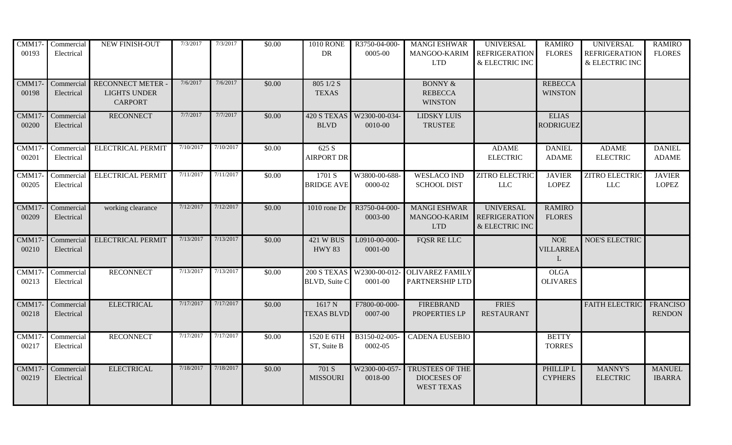| CMM17-<br>00193 | Commercial<br>Electrical | NEW FINISH-OUT                                                  | 7/3/2017  | 7/3/2017  | \$0.00 | <b>1010 RONE</b><br>DR              | R3750-04-000-<br>0005-00 | <b>MANGI ESHWAR</b><br>MANGOO-KARIM<br><b>LTD</b>                 | <b>UNIVERSAL</b><br><b>REFRIGERATION</b><br>& ELECTRIC INC | <b>RAMIRO</b><br><b>FLORES</b>                 | <b>UNIVERSAL</b><br><b>REFRIGERATION</b><br>$\&$ ELECTRIC INC | <b>RAMIRO</b><br><b>FLORES</b>   |
|-----------------|--------------------------|-----------------------------------------------------------------|-----------|-----------|--------|-------------------------------------|--------------------------|-------------------------------------------------------------------|------------------------------------------------------------|------------------------------------------------|---------------------------------------------------------------|----------------------------------|
| CMM17<br>00198  | Commercial<br>Electrical | <b>RECONNECT METER</b><br><b>LIGHTS UNDER</b><br><b>CARPORT</b> | 7/6/2017  | 7/6/2017  | \$0.00 | $805$ 1/2 S<br><b>TEXAS</b>         |                          | <b>BONNY &amp;</b><br><b>REBECCA</b><br><b>WINSTON</b>            |                                                            | <b>REBECCA</b><br><b>WINSTON</b>               |                                                               |                                  |
| CMM17<br>00200  | Commercial<br>Electrical | <b>RECONNECT</b>                                                | 7/7/2017  | 7/7/2017  | \$0.00 | 420 S TEXAS<br><b>BLVD</b>          | W2300-00-034-<br>0010-00 | <b>LIDSKY LUIS</b><br><b>TRUSTEE</b>                              |                                                            | <b>ELIAS</b><br><b>RODRIGUEZ</b>               |                                                               |                                  |
| CMM17<br>00201  | Commercial<br>Electrical | <b>ELECTRICAL PERMIT</b>                                        | 7/10/2017 | 7/10/2017 | \$0.00 | 625 S<br><b>AIRPORT DR</b>          |                          |                                                                   | <b>ADAME</b><br><b>ELECTRIC</b>                            | <b>DANIEL</b><br><b>ADAME</b>                  | <b>ADAME</b><br><b>ELECTRIC</b>                               | <b>DANIEL</b><br><b>ADAME</b>    |
| CMM17<br>00205  | Commercial<br>Electrical | <b>ELECTRICAL PERMIT</b>                                        | 7/11/2017 | 7/11/2017 | \$0.00 | 1701 S<br><b>BRIDGE AVE</b>         | W3800-00-688-<br>0000-02 | <b>WESLACO IND</b><br><b>SCHOOL DIST</b>                          | <b>ZITRO ELECTRIC</b><br>$LLC$                             | <b>JAVIER</b><br><b>LOPEZ</b>                  | <b>ZITRO ELECTRIC</b><br>$LLC$                                | <b>JAVIER</b><br><b>LOPEZ</b>    |
| CMM17<br>00209  | Commercial<br>Electrical | working clearance                                               | 7/12/2017 | 7/12/2017 | \$0.00 | 1010 rone Dr                        | R3750-04-000-<br>0003-00 | <b>MANGI ESHWAR</b><br>MANGOO-KARIM<br><b>LTD</b>                 | <b>UNIVERSAL</b><br><b>REFRIGERATION</b><br>& ELECTRIC INC | <b>RAMIRO</b><br><b>FLORES</b>                 |                                                               |                                  |
| CMM17<br>00210  | Commercial<br>Electrical | <b>ELECTRICAL PERMIT</b>                                        | 7/13/2017 | 7/13/2017 | \$0.00 | <b>421 W BUS</b><br><b>HWY 83</b>   | L0910-00-000-<br>0001-00 | <b>FOSR RE LLC</b>                                                |                                                            | <b>NOE</b><br><b>VILLARREA</b><br>$\mathbf{L}$ | <b>NOE'S ELECTRIC</b>                                         |                                  |
| CMM17<br>00213  | Commercial<br>Electrical | <b>RECONNECT</b>                                                | 7/13/2017 | 7/13/2017 | \$0.00 | 200 S TEXAS<br><b>BLVD, Suite C</b> | W2300-00-012-<br>0001-00 | <b>OLIVAREZ FAMILY</b><br>PARTNERSHIP LTD                         |                                                            | <b>OLGA</b><br><b>OLIVARES</b>                 |                                                               |                                  |
| CMM17<br>00218  | Commercial<br>Electrical | <b>ELECTRICAL</b>                                               | 7/17/2017 | 7/17/2017 | \$0.00 | 1617N<br><b>TEXAS BLVD</b>          | F7800-00-000-<br>0007-00 | <b>FIREBRAND</b><br>PROPERTIES LP                                 | <b>FRIES</b><br><b>RESTAURANT</b>                          |                                                | <b>FAITH ELECTRIC</b>                                         | <b>FRANCISO</b><br><b>RENDON</b> |
| CMM17<br>00217  | Commercial<br>Electrical | <b>RECONNECT</b>                                                | 7/17/2017 | 7/17/2017 | \$0.00 | 1520 E 6TH<br>ST, Suite B           | B3150-02-005-<br>0002-05 | <b>CADENA EUSEBIO</b>                                             |                                                            | <b>BETTY</b><br><b>TORRES</b>                  |                                                               |                                  |
| CMM17<br>00219  | Commercial<br>Electrical | <b>ELECTRICAL</b>                                               | 7/18/2017 | 7/18/2017 | \$0.00 | 701 S<br><b>MISSOURI</b>            | W2300-00-057-<br>0018-00 | <b>TRUSTEES OF THE</b><br><b>DIOCESES OF</b><br><b>WEST TEXAS</b> |                                                            | PHILLIP L<br><b>CYPHERS</b>                    | <b>MANNY'S</b><br><b>ELECTRIC</b>                             | <b>MANUEL</b><br><b>IBARRA</b>   |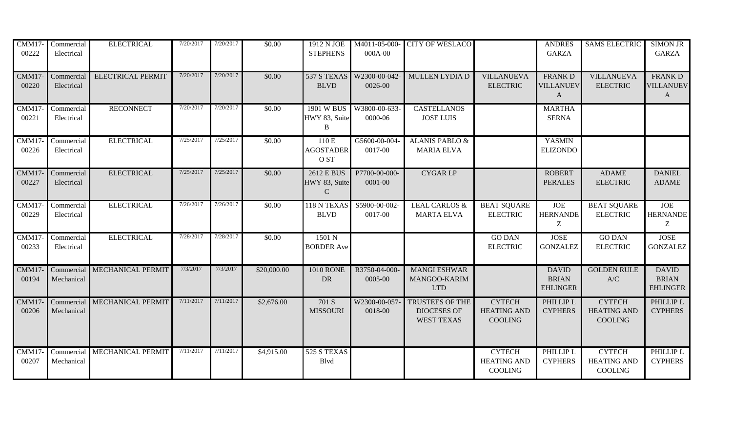| CMM17-<br>00222 | Commercial<br>Electrical | <b>ELECTRICAL</b>            | 7/20/2017 | 7/20/2017 | \$0.00      | 1912 N JOE<br><b>STEPHENS</b>                     | M4011-05-000-<br>000A-00     | <b>CITY OF WESLACO</b>                                            |                                                       | <b>ANDRES</b><br><b>GARZA</b>                      | <b>SAMS ELECTRIC</b>                                  | <b>SIMON JR</b><br><b>GARZA</b>                   |
|-----------------|--------------------------|------------------------------|-----------|-----------|-------------|---------------------------------------------------|------------------------------|-------------------------------------------------------------------|-------------------------------------------------------|----------------------------------------------------|-------------------------------------------------------|---------------------------------------------------|
| CMM17<br>00220  | Commercial<br>Electrical | <b>ELECTRICAL PERMIT</b>     | 7/20/2017 | 7/20/2017 | \$0.00      | 537 S TEXAS<br><b>BLVD</b>                        | W2300-00-042-<br>0026-00     | <b>MULLEN LYDIA D</b>                                             | <b>VILLANUEVA</b><br><b>ELECTRIC</b>                  | <b>FRANK D</b><br><b>VILLANUEV</b><br>$\mathbf{A}$ | <b>VILLANUEVA</b><br><b>ELECTRIC</b>                  | <b>FRANKD</b><br><b>VILLANUEV</b><br>$\mathbf{A}$ |
| CMM17<br>00221  | Commercial<br>Electrical | <b>RECONNECT</b>             | 7/20/2017 | 7/20/2017 | \$0.00      | 1901 W BUS<br>HWY 83, Suite<br>B                  | W3800-00-633-<br>0000-06     | <b>CASTELLANOS</b><br><b>JOSE LUIS</b>                            |                                                       | <b>MARTHA</b><br><b>SERNA</b>                      |                                                       |                                                   |
| CMM17<br>00226  | Commercial<br>Electrical | <b>ELECTRICAL</b>            | 7/25/2017 | 7/25/2017 | \$0.00      | 110 E<br><b>AGOSTADER</b><br>O ST                 | G5600-00-004<br>0017-00      | <b>ALANIS PABLO &amp;</b><br><b>MARIA ELVA</b>                    |                                                       | <b>YASMIN</b><br><b>ELIZONDO</b>                   |                                                       |                                                   |
| CMM17<br>00227  | Commercial<br>Electrical | <b>ELECTRICAL</b>            | 7/25/2017 | 7/25/2017 | \$0.00      | <b>2612 E BUS</b><br>HWY 83, Suite<br>$\mathbf C$ | P7700-00-000-<br>$0001 - 00$ | <b>CYGAR LP</b>                                                   |                                                       | <b>ROBERT</b><br><b>PERALES</b>                    | <b>ADAME</b><br><b>ELECTRIC</b>                       | <b>DANIEL</b><br><b>ADAME</b>                     |
| CMM17<br>00229  | Commercial<br>Electrical | <b>ELECTRICAL</b>            | 7/26/2017 | 7/26/2017 | \$0.00      | 118 N TEXAS<br><b>BLVD</b>                        | S5900-00-002-<br>0017-00     | <b>LEAL CARLOS &amp;</b><br><b>MARTA ELVA</b>                     | <b>BEAT SQUARE</b><br><b>ELECTRIC</b>                 | <b>JOE</b><br><b>HERNANDE</b><br>Z                 | <b>BEAT SQUARE</b><br><b>ELECTRIC</b>                 | <b>JOE</b><br><b>HERNANDE</b><br>Z                |
| CMM17<br>00233  | Commercial<br>Electrical | <b>ELECTRICAL</b>            | 7/28/2017 | 7/28/2017 | \$0.00      | 1501 N<br><b>BORDER Ave</b>                       |                              |                                                                   | <b>GO DAN</b><br><b>ELECTRIC</b>                      | <b>JOSE</b><br><b>GONZALEZ</b>                     | <b>GO DAN</b><br><b>ELECTRIC</b>                      | <b>JOSE</b><br><b>GONZALEZ</b>                    |
| CMM17<br>00194  | Mechanical               | Commercial MECHANICAL PERMIT | 7/3/2017  | 7/3/2017  | \$20,000.00 | <b>1010 RONE</b><br>DR                            | R3750-04-000-<br>0005-00     | <b>MANGI ESHWAR</b><br>MANGOO-KARIM<br><b>LTD</b>                 |                                                       | <b>DAVID</b><br><b>BRIAN</b><br><b>EHLINGER</b>    | <b>GOLDEN RULE</b><br>$\mathbf{A}/\mathbf{C}$         | <b>DAVID</b><br><b>BRIAN</b><br><b>EHLINGER</b>   |
| CMM17<br>00206  | Commercial<br>Mechanical | MECHANICAL PERMIT            | 7/11/2017 | 7/11/2017 | \$2,676.00  | 701 S<br><b>MISSOURI</b>                          | W2300-00-057-<br>0018-00     | <b>TRUSTEES OF THE</b><br><b>DIOCESES OF</b><br><b>WEST TEXAS</b> | <b>CYTECH</b><br><b>HEATING AND</b><br><b>COOLING</b> | PHILLIP L<br><b>CYPHERS</b>                        | <b>CYTECH</b><br><b>HEATING AND</b><br><b>COOLING</b> | PHILLIP L<br><b>CYPHERS</b>                       |
| CMM17<br>00207  | Commercial<br>Mechanical | MECHANICAL PERMIT            | 7/11/2017 | 7/11/2017 | \$4,915.00  | 525 S TEXAS<br><b>B</b> lvd                       |                              |                                                                   | <b>CYTECH</b><br><b>HEATING AND</b><br>COOLING        | PHILLIP L<br><b>CYPHERS</b>                        | <b>CYTECH</b><br><b>HEATING AND</b><br>COOLING        | PHILLIP L<br><b>CYPHERS</b>                       |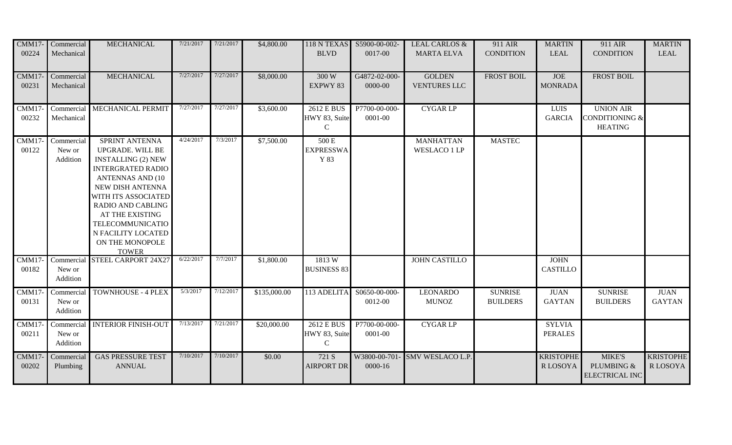| <b>CMM17-</b><br>00224 | Commercial<br>Mechanical         | <b>MECHANICAL</b>                                                                                                                                                                                                                                                                       | 7/21/2017 | 7/21/2017 | \$4,800.00   | <b>BLVD</b>                                  | 118 N TEXAS S5900-00-002-<br>0017-00 | <b>LEAL CARLOS &amp;</b><br><b>MARTA ELVA</b> | 911 AIR<br><b>CONDITION</b>       | <b>MARTIN</b><br><b>LEAL</b>       | 911 AIR<br><b>CONDITION</b>                                     | <b>MARTIN</b><br><b>LEAL</b> |
|------------------------|----------------------------------|-----------------------------------------------------------------------------------------------------------------------------------------------------------------------------------------------------------------------------------------------------------------------------------------|-----------|-----------|--------------|----------------------------------------------|--------------------------------------|-----------------------------------------------|-----------------------------------|------------------------------------|-----------------------------------------------------------------|------------------------------|
| CMM17-<br>00231        | Commercial<br>Mechanical         | <b>MECHANICAL</b>                                                                                                                                                                                                                                                                       | 7/27/2017 | 7/27/2017 | \$8,000.00   | 300 W<br>EXPWY 83                            | G4872-02-000-<br>$0000 - 00$         | <b>GOLDEN</b><br>VENTURES LLC                 | <b>FROST BOIL</b>                 | JOE<br><b>MONRADA</b>              | <b>FROST BOIL</b>                                               |                              |
| CMM17-<br>00232        | Mechanical                       | Commercial MECHANICAL PERMIT                                                                                                                                                                                                                                                            | 7/27/2017 | 7/27/2017 | \$3,600.00   | 2612 E BUS<br>HWY 83, Suite<br>$\mathcal{C}$ | P7700-00-000-<br>0001-00             | <b>CYGARLP</b>                                |                                   | <b>LUIS</b><br><b>GARCIA</b>       | <b>UNION AIR</b><br><b>CONDITIONING &amp;</b><br><b>HEATING</b> |                              |
| CMM17-<br>00122        | Commercial<br>New or<br>Addition | SPRINT ANTENNA<br>UPGRADE. WILL BE<br><b>INSTALLING (2) NEW</b><br><b>INTERGRATED RADIO</b><br><b>ANTENNAS AND (10)</b><br>NEW DISH ANTENNA<br>WITH ITS ASSOCIATED<br>RADIO AND CABLING<br>AT THE EXISTING<br>TELECOMMUNICATIO<br>N FACILITY LOCATED<br>ON THE MONOPOLE<br><b>TOWER</b> | 4/24/2017 | 7/3/2017  | \$7,500.00   | 500 E<br><b>EXPRESSWA</b><br>Y 83            |                                      | <b>MANHATTAN</b><br><b>WESLACO 1 LP</b>       | <b>MASTEC</b>                     |                                    |                                                                 |                              |
| CMM17-<br>00182        | New or<br>Addition               | Commercial STEEL CARPORT 24X27                                                                                                                                                                                                                                                          | 6/22/2017 | 7/7/2017  | \$1,800.00   | 1813W<br><b>BUSINESS 83</b>                  |                                      | <b>JOHN CASTILLO</b>                          |                                   | <b>JOHN</b><br><b>CASTILLO</b>     |                                                                 |                              |
| CMM17-<br>00131        | Commercial<br>New or<br>Addition | <b>TOWNHOUSE - 4 PLEX</b>                                                                                                                                                                                                                                                               | 5/3/2017  | 7/12/2017 | \$135,000.00 | 113 ADELITA                                  | S0650-00-000-<br>0012-00             | <b>LEONARDO</b><br><b>MUNOZ</b>               | <b>SUNRISE</b><br><b>BUILDERS</b> | <b>JUAN</b><br><b>GAYTAN</b>       | <b>SUNRISE</b><br><b>BUILDERS</b>                               | <b>JUAN</b><br><b>GAYTAN</b> |
| CMM17-<br>00211        | Commercial<br>New or<br>Addition | <b>INTERIOR FINISH-OUT</b>                                                                                                                                                                                                                                                              | 7/13/2017 | 7/21/2017 | \$20,000.00  | 2612 E BUS<br>HWY 83, Suite<br>$\mathbf C$   | P7700-00-000-<br>0001-00             | <b>CYGARLP</b>                                |                                   | <b>SYLVIA</b><br><b>PERALES</b>    |                                                                 |                              |
| CMM17-<br>00202        | Commercial<br>Plumbing           | <b>GAS PRESSURE TEST</b><br><b>ANNUAL</b>                                                                                                                                                                                                                                               | 7/10/2017 | 7/10/2017 | \$0.00       | 721 S<br><b>AIRPORT DR</b>                   | 0000-16                              | W3800-00-701- SMV WESLACO L.P.                |                                   | <b>KRISTOPHE</b><br><b>RLOSOYA</b> | <b>MIKE'S</b><br>PLUMBING &<br><b>ELECTRICAL INC</b>            | <b>KRISTOPHE</b><br>R LOSOYA |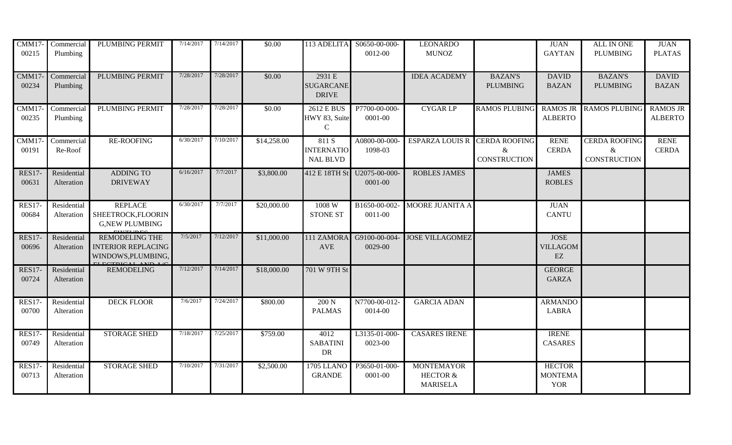| <b>CMM17-</b><br>00215 | Commercial<br>Plumbing    | PLUMBING PERMIT                                                          | 7/14/2017 | 7/14/2017 | \$0.00      |                                               | 113 ADELITA S0650-00-000-<br>0012-00 | <b>LEONARDO</b><br><b>MUNOZ</b>                             |                                                  | <b>JUAN</b><br><b>GAYTAN</b>                        | ALL IN ONE<br><b>PLUMBING</b>                    | <b>JUAN</b><br><b>PLATAS</b>      |
|------------------------|---------------------------|--------------------------------------------------------------------------|-----------|-----------|-------------|-----------------------------------------------|--------------------------------------|-------------------------------------------------------------|--------------------------------------------------|-----------------------------------------------------|--------------------------------------------------|-----------------------------------|
| CMM17-<br>00234        | Commercial<br>Plumbing    | PLUMBING PERMIT                                                          | 7/28/2017 | 7/28/2017 | \$0.00      | 2931 E<br><b>SUGARCANE</b><br><b>DRIVE</b>    |                                      | <b>IDEA ACADEMY</b>                                         | <b>BAZAN'S</b><br><b>PLUMBING</b>                | <b>DAVID</b><br><b>BAZAN</b>                        | <b>BAZAN'S</b><br><b>PLUMBING</b>                | <b>DAVID</b><br><b>BAZAN</b>      |
| CMM17<br>00235         | Commercial<br>Plumbing    | PLUMBING PERMIT                                                          | 7/28/2017 | 7/28/2017 | \$0.00      | 2612 E BUS<br>HWY 83, Suite<br>$\mathbf C$    | P7700-00-000-<br>0001-00             | <b>CYGAR LP</b>                                             | <b>RAMOS PLUBING</b>                             | <b>RAMOS JR</b><br><b>ALBERTO</b>                   | <b>RAMOS PLUBING</b>                             | <b>RAMOS JR</b><br><b>ALBERTO</b> |
| CMM17<br>00191         | Commercial<br>Re-Roof     | <b>RE-ROOFING</b>                                                        | 6/30/2017 | 7/10/2017 | \$14,258.00 | 811 S<br><b>INTERNATIO</b><br><b>NAL BLVD</b> | A0800-00-000-<br>1098-03             | <b>ESPARZA LOUIS R</b>                                      | <b>CERDA ROOFING</b><br>&<br><b>CONSTRUCTION</b> | <b>RENE</b><br><b>CERDA</b>                         | <b>CERDA ROOFING</b><br>&<br><b>CONSTRUCTION</b> | <b>RENE</b><br><b>CERDA</b>       |
| <b>RES17-</b><br>00631 | Residential<br>Alteration | <b>ADDING TO</b><br><b>DRIVEWAY</b>                                      | 6/16/2017 | 7/7/2017  | \$3,800.00  | 412 E 18TH St                                 | U2075-00-000-<br>0001-00             | <b>ROBLES JAMES</b>                                         |                                                  | <b>JAMES</b><br><b>ROBLES</b>                       |                                                  |                                   |
| <b>RES17-</b><br>00684 | Residential<br>Alteration | <b>REPLACE</b><br>SHEETROCK, FLOORIN<br><b>G,NEW PLUMBING</b>            | 6/30/2017 | 7/7/2017  | \$20,000.00 | 1008W<br><b>STONE ST</b>                      | B1650-00-002-<br>0011-00             | <b>MOORE JUANITA A</b>                                      |                                                  | <b>JUAN</b><br><b>CANTU</b>                         |                                                  |                                   |
| <b>RES17-</b><br>00696 | Residential<br>Alteration | <b>REMODELING THE</b><br><b>INTERIOR REPLACING</b><br>WINDOWS, PLUMBING, | 7/5/2017  | 7/12/2017 | \$11,000.00 | 111 ZAMORA<br><b>AVE</b>                      | G9100-00-004-<br>0029-00             | <b>JOSE VILLAGOMEZ</b>                                      |                                                  | <b>JOSE</b><br><b>VILLAGOM</b><br>$\mathop{\rm EZ}$ |                                                  |                                   |
| <b>RES17-</b><br>00724 | Residential<br>Alteration | <b>REMODELING</b>                                                        | 7/12/2017 | 7/14/2017 | \$18,000.00 | 701 W 9TH St                                  |                                      |                                                             |                                                  | <b>GEORGE</b><br><b>GARZA</b>                       |                                                  |                                   |
| <b>RES17-</b><br>00700 | Residential<br>Alteration | <b>DECK FLOOR</b>                                                        | 7/6/2017  | 7/24/2017 | \$800.00    | 200 N<br><b>PALMAS</b>                        | N7700-00-012-<br>0014-00             | <b>GARCIA ADAN</b>                                          |                                                  | <b>ARMANDO</b><br><b>LABRA</b>                      |                                                  |                                   |
| <b>RES17-</b><br>00749 | Residential<br>Alteration | <b>STORAGE SHED</b>                                                      | 7/18/2017 | 7/25/2017 | \$759.00    | 4012<br><b>SABATINI</b><br>DR                 | L3135-01-000-<br>0023-00             | <b>CASARES IRENE</b>                                        |                                                  | <b>IRENE</b><br><b>CASARES</b>                      |                                                  |                                   |
| <b>RES17-</b><br>00713 | Residential<br>Alteration | <b>STORAGE SHED</b>                                                      | 7/10/2017 | 7/31/2017 | \$2,500.00  | <b>1705 LLANO</b><br><b>GRANDE</b>            | P3650-01-000-<br>0001-00             | <b>MONTEMAYOR</b><br><b>HECTOR &amp;</b><br><b>MARISELA</b> |                                                  | <b>HECTOR</b><br><b>MONTEMA</b><br><b>YOR</b>       |                                                  |                                   |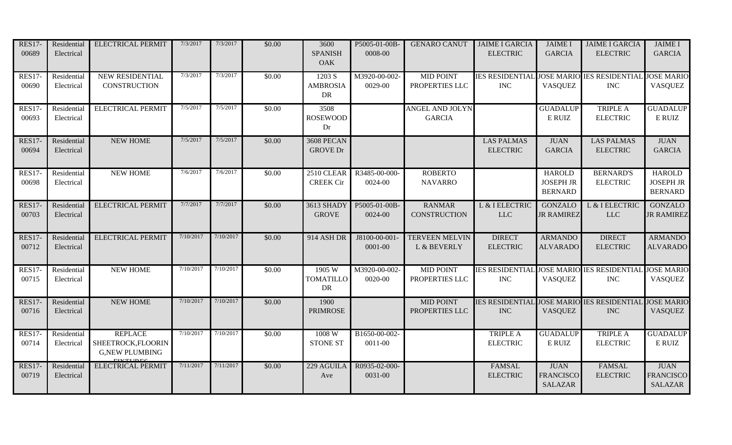| <b>RES17-</b><br>00689 | Residential<br>Electrical | <b>ELECTRICAL PERMIT</b>                                      | 7/3/2017  | 7/3/2017  | \$0.00 | 3600<br><b>SPANISH</b><br>OAK     | P5005-01-00B-<br>0008-00 | <b>GENARO CANUT</b>                     | <b>JAIME I GARCIA</b><br><b>ELECTRIC</b>                 | <b>JAIME I</b><br><b>GARCIA</b>                     | <b>JAIME I GARCIA</b><br><b>ELECTRIC</b> | <b>JAIME I</b><br><b>GARCIA</b>                          |
|------------------------|---------------------------|---------------------------------------------------------------|-----------|-----------|--------|-----------------------------------|--------------------------|-----------------------------------------|----------------------------------------------------------|-----------------------------------------------------|------------------------------------------|----------------------------------------------------------|
| <b>RES17-</b><br>00690 | Residential<br>Electrical | NEW RESIDENTIAL<br><b>CONSTRUCTION</b>                        | 7/3/2017  | 7/3/2017  | \$0.00 | 1203 S<br><b>AMBROSIA</b><br>DR   | M3920-00-002-<br>0029-00 | <b>MID POINT</b><br>PROPERTIES LLC      | IES RESIDENTIAL JOSE MARIO IES RESIDENTIAL<br><b>INC</b> | <b>VASQUEZ</b>                                      | $\rm{INC}$                               | <b>JOSE MARIO</b><br><b>VASQUEZ</b>                      |
| <b>RES17-</b><br>00693 | Residential<br>Electrical | <b>ELECTRICAL PERMIT</b>                                      | 7/5/2017  | 7/5/2017  | \$0.00 | 3508<br><b>ROSEWOOD</b><br>Dr     |                          | <b>ANGEL AND JOLYN</b><br><b>GARCIA</b> |                                                          | <b>GUADALUP</b><br>E RUIZ                           | <b>TRIPLE A</b><br><b>ELECTRIC</b>       | <b>GUADALUP</b><br>E RUIZ                                |
| <b>RES17-</b><br>00694 | Residential<br>Electrical | <b>NEW HOME</b>                                               | 7/5/2017  | 7/5/2017  | \$0.00 | 3608 PECAN<br><b>GROVE Dr</b>     |                          |                                         | <b>LAS PALMAS</b><br><b>ELECTRIC</b>                     | <b>JUAN</b><br><b>GARCIA</b>                        | <b>LAS PALMAS</b><br><b>ELECTRIC</b>     | <b>JUAN</b><br><b>GARCIA</b>                             |
| <b>RES17-</b><br>00698 | Residential<br>Electrical | <b>NEW HOME</b>                                               | 7/6/2017  | 7/6/2017  | \$0.00 | 2510 CLEAR<br><b>CREEK Cir</b>    | R3485-00-000-<br>0024-00 | <b>ROBERTO</b><br><b>NAVARRO</b>        |                                                          | <b>HAROLD</b><br><b>JOSEPH JR</b><br><b>BERNARD</b> | <b>BERNARD'S</b><br><b>ELECTRIC</b>      | <b>HAROLD</b><br><b>JOSEPH JR</b><br><b>BERNARD</b>      |
| <b>RES17-</b><br>00703 | Residential<br>Electrical | <b>ELECTRICAL PERMIT</b>                                      | 7/7/2017  | 7/7/2017  | \$0.00 | <b>3613 SHADY</b><br><b>GROVE</b> | P5005-01-00B-<br>0024-00 | <b>RANMAR</b><br><b>CONSTRUCTION</b>    | L & I ELECTRIC<br>LLC                                    | <b>GONZALO</b><br><b>JR RAMIREZ</b>                 | L & I ELECTRIC<br>$LLC$                  | <b>GONZALO</b><br><b>JR RAMIREZ</b>                      |
| <b>RES17-</b><br>00712 | Residential<br>Electrical | <b>ELECTRICAL PERMIT</b>                                      | 7/10/2017 | 7/10/2017 | \$0.00 | 914 ASH DR                        | J8100-00-001<br>0001-00  | <b>TERVEEN MELVIN</b><br>L & BEVERLY    | <b>DIRECT</b><br><b>ELECTRIC</b>                         | <b>ARMANDO</b><br><b>ALVARADO</b>                   | <b>DIRECT</b><br><b>ELECTRIC</b>         | <b>ARMANDO</b><br><b>ALVARADO</b>                        |
| <b>RES17-</b><br>00715 | Residential<br>Electrical | <b>NEW HOME</b>                                               | 7/10/2017 | 7/10/2017 | \$0.00 | 1905 W<br><b>TOMATILLO</b><br>DR  | M3920-00-002-<br>0020-00 | <b>MID POINT</b><br>PROPERTIES LLC      | IES RESIDENTIAL JOSE MARIO IES RESIDENTIAL<br><b>INC</b> | <b>VASQUEZ</b>                                      | <b>INC</b>                               | <b>JOSE MARIO</b><br><b>VASQUEZ</b>                      |
| <b>RES17-</b><br>00716 | Residential<br>Electrical | <b>NEW HOME</b>                                               | 7/10/2017 | 7/10/2017 | \$0.00 | 1900<br><b>PRIMROSE</b>           |                          | <b>MID POINT</b><br>PROPERTIES LLC      | IES RESIDENTIAL JOSE MARIO IES RESIDENTIAI<br><b>INC</b> | <b>VASQUEZ</b>                                      | <b>INC</b>                               | <b>JOSE MARIO</b><br><b>VASQUEZ</b>                      |
| <b>RES17-</b><br>00714 | Residential<br>Electrical | <b>REPLACE</b><br>SHEETROCK, FLOORIN<br><b>G,NEW PLUMBING</b> | 7/10/2017 | 7/10/2017 | \$0.00 | 1008 W<br><b>STONE ST</b>         | B1650-00-002-<br>0011-00 |                                         | TRIPLE A<br><b>ELECTRIC</b>                              | <b>GUADALUP</b><br>E RUIZ                           | <b>TRIPLE A</b><br><b>ELECTRIC</b>       | <b>GUADALUP</b><br>$\mathop{\hbox{\rm E}}\nolimits$ RUIZ |
| <b>RES17-</b><br>00719 | Residential<br>Electrical | <b>ELECTRICAL PERMIT</b>                                      | 7/11/2017 | 7/11/2017 | \$0.00 | 229 AGUILA<br>Ave                 | R0935-02-000-<br>0031-00 |                                         | <b>FAMSAL</b><br><b>ELECTRIC</b>                         | <b>JUAN</b><br><b>FRANCISCO</b><br><b>SALAZAR</b>   | <b>FAMSAL</b><br><b>ELECTRIC</b>         | <b>JUAN</b><br><b>FRANCISCO</b><br><b>SALAZAR</b>        |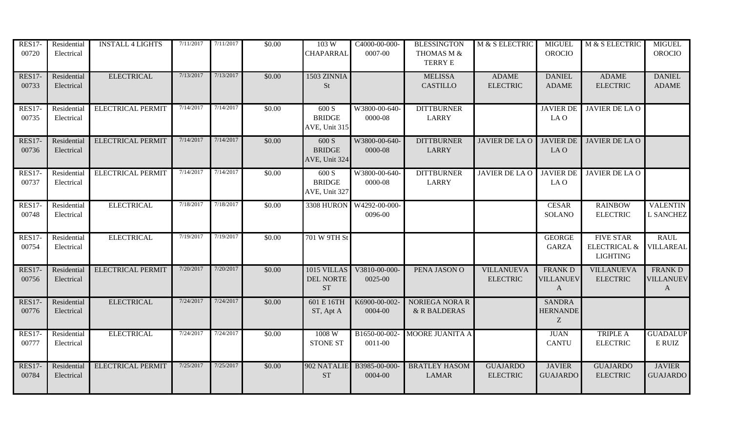| <b>RES17-</b><br>00720 | Residential<br>Electrical | <b>INSTALL 4 LIGHTS</b>  | 7/11/2017 | 7/11/2017 | \$0.00 | 103 W<br><b>CHAPARRAL</b>                    | C4000-00-000-<br>0007-00            | <b>BLESSINGTON</b><br>THOMAS M &<br><b>TERRY E</b> | M & S ELECTRIC                       | <b>MIGUEL</b><br><b>OROCIO</b>         | M & S ELECTRIC                                                 | <b>MIGUEL</b><br><b>OROCIO</b>   |
|------------------------|---------------------------|--------------------------|-----------|-----------|--------|----------------------------------------------|-------------------------------------|----------------------------------------------------|--------------------------------------|----------------------------------------|----------------------------------------------------------------|----------------------------------|
| <b>RES17-</b><br>00733 | Residential<br>Electrical | <b>ELECTRICAL</b>        | 7/13/2017 | 7/13/2017 | \$0.00 | 1503 ZINNIA<br><b>St</b>                     |                                     | <b>MELISSA</b><br><b>CASTILLO</b>                  | <b>ADAME</b><br><b>ELECTRIC</b>      | <b>DANIEL</b><br><b>ADAME</b>          | <b>ADAME</b><br><b>ELECTRIC</b>                                | <b>DANIEL</b><br><b>ADAME</b>    |
| <b>RES17-</b><br>00735 | Residential<br>Electrical | <b>ELECTRICAL PERMIT</b> | 7/14/2017 | 7/14/2017 | \$0.00 | 600 S<br><b>BRIDGE</b><br>AVE, Unit 315      | W3800-00-640-<br>0000-08            | <b>DITTBURNER</b><br><b>LARRY</b>                  |                                      | <b>JAVIER DE</b><br>LA O               | JAVIER DE LA O                                                 |                                  |
| <b>RES17-</b><br>00736 | Residential<br>Electrical | <b>ELECTRICAL PERMIT</b> | 7/14/2017 | 7/14/2017 | \$0.00 | 600 S<br><b>BRIDGE</b><br>AVE, Unit 324      | W3800-00-640-<br>0000-08            | <b>DITTBURNER</b><br><b>LARRY</b>                  | <b>JAVIER DE LA O</b>                | <b>JAVIER DE</b><br>LA O               | JAVIER DE LA O                                                 |                                  |
| <b>RES17-</b><br>00737 | Residential<br>Electrical | <b>ELECTRICAL PERMIT</b> | 7/14/2017 | 7/14/2017 | \$0.00 | 600 S<br><b>BRIDGE</b><br>AVE, Unit 327      | W3800-00-640-<br>0000-08            | <b>DITTBURNER</b><br><b>LARRY</b>                  | <b>JAVIER DE LA O</b>                | <b>JAVIER DE</b><br>LA O               | <b>JAVIER DE LA O</b>                                          |                                  |
| <b>RES17-</b><br>00748 | Residential<br>Electrical | <b>ELECTRICAL</b>        | 7/18/2017 | 7/18/2017 | \$0.00 |                                              | 3308 HURON W4292-00-000-<br>0096-00 |                                                    |                                      | <b>CESAR</b><br><b>SOLANO</b>          | <b>RAINBOW</b><br><b>ELECTRIC</b>                              | <b>VALENTIN</b><br>L SANCHEZ     |
| <b>RES17-</b><br>00754 | Residential<br>Electrical | <b>ELECTRICAL</b>        | 7/19/2017 | 7/19/2017 | \$0.00 | 701 W 9TH St                                 |                                     |                                                    |                                      | <b>GEORGE</b><br><b>GARZA</b>          | <b>FIVE STAR</b><br><b>ELECTRICAL &amp;</b><br><b>LIGHTING</b> | <b>RAUL</b><br>VILLAREAL         |
| <b>RES17-</b><br>00756 | Residential<br>Electrical | <b>ELECTRICAL PERMIT</b> | 7/20/2017 | 7/20/2017 | \$0.00 | 1015 VILLAS<br><b>DEL NORTE</b><br><b>ST</b> | V3810-00-000-<br>0025-00            | PENA JASON O                                       | <b>VILLANUEVA</b><br><b>ELECTRIC</b> | <b>FRANKD</b><br><b>VILLANUEV</b><br>A | <b>VILLANUEVA</b><br><b>ELECTRIC</b>                           | <b>FRANKD</b><br>VILLANUEV<br>A  |
| <b>RES17-</b><br>00776 | Residential<br>Electrical | <b>ELECTRICAL</b>        | 7/24/2017 | 7/24/2017 | \$0.00 | 601 E 16TH<br>ST, Apt A                      | K6900-00-002-<br>0004-00            | <b>NORIEGA NORA R</b><br>& R BALDERAS              |                                      | <b>SANDRA</b><br><b>HERNANDE</b><br>Z  |                                                                |                                  |
| <b>RES17-</b><br>00777 | Residential<br>Electrical | <b>ELECTRICAL</b>        | 7/24/2017 | 7/24/2017 | \$0.00 | 1008 W<br><b>STONE ST</b>                    | B1650-00-002-<br>0011-00            | MOORE JUANITA A                                    |                                      | <b>JUAN</b><br><b>CANTU</b>            | <b>TRIPLE A</b><br><b>ELECTRIC</b>                             | <b>GUADALUP</b><br>E RUIZ        |
| <b>RES17-</b><br>00784 | Residential<br>Electrical | <b>ELECTRICAL PERMIT</b> | 7/25/2017 | 7/25/2017 | \$0.00 | 902 NATALIE<br><b>ST</b>                     | B3985-00-000-<br>0004-00            | <b>BRATLEY HASOM</b><br><b>LAMAR</b>               | <b>GUAJARDO</b><br><b>ELECTRIC</b>   | <b>JAVIER</b><br><b>GUAJARDO</b>       | <b>GUAJARDO</b><br><b>ELECTRIC</b>                             | <b>JAVIER</b><br><b>GUAJARDO</b> |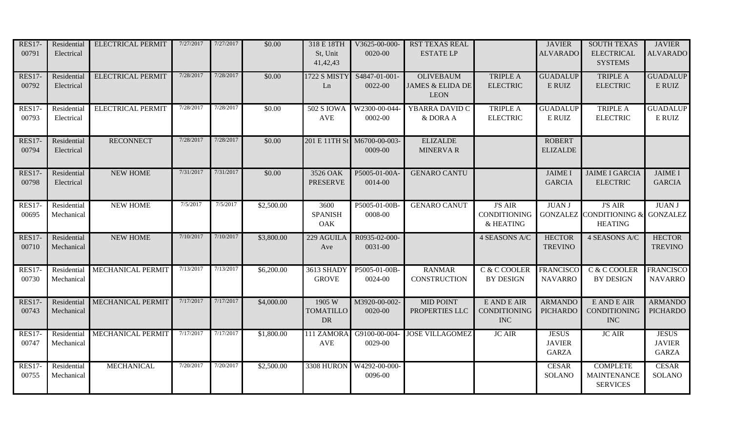| <b>RES17-</b><br>00791 | Residential<br>Electrical | <b>ELECTRICAL PERMIT</b> | 7/27/2017 | 7/27/2017 | \$0.00     | 318 E 18TH<br>St, Unit<br>41,42,43      | V3625-00-000-<br>0020-00                 | RST TEXAS REAL<br><b>ESTATE LP</b>                             |                                                    | <b>JAVIER</b><br><b>ALVARADO</b>              | <b>SOUTH TEXAS</b><br><b>ELECTRICAL</b><br><b>SYSTEMS</b>                       | <b>JAVIER</b><br><b>ALVARADO</b>              |
|------------------------|---------------------------|--------------------------|-----------|-----------|------------|-----------------------------------------|------------------------------------------|----------------------------------------------------------------|----------------------------------------------------|-----------------------------------------------|---------------------------------------------------------------------------------|-----------------------------------------------|
| <b>RES17-</b><br>00792 | Residential<br>Electrical | <b>ELECTRICAL PERMIT</b> | 7/28/2017 | 7/28/2017 | \$0.00     | 1722 S MISTY<br>Ln                      | S4847-01-001-<br>0022-00                 | <b>OLIVEBAUM</b><br><b>JAMES &amp; ELIDA DE</b><br><b>LEON</b> | <b>TRIPLE A</b><br><b>ELECTRIC</b>                 | <b>GUADALUP</b><br>E RUIZ                     | <b>TRIPLE A</b><br><b>ELECTRIC</b>                                              | <b>GUADALUP</b><br>E RUIZ                     |
| <b>RES17-</b><br>00793 | Residential<br>Electrical | <b>ELECTRICAL PERMIT</b> | 7/28/2017 | 7/28/2017 | \$0.00     | <b>502 S IOWA</b><br><b>AVE</b>         | W2300-00-044-<br>0002-00                 | YBARRA DAVID C<br>& DORA A                                     | <b>TRIPLE A</b><br><b>ELECTRIC</b>                 | <b>GUADALUP</b><br>E RUIZ                     | <b>TRIPLE A</b><br><b>ELECTRIC</b>                                              | <b>GUADALUP</b><br>E RUIZ                     |
| <b>RES17-</b><br>00794 | Residential<br>Electrical | <b>RECONNECT</b>         | 7/28/2017 | 7/28/2017 | \$0.00     | 201 E 11TH St                           | M6700-00-003-<br>0009-00                 | <b>ELIZALDE</b><br><b>MINERVAR</b>                             |                                                    | <b>ROBERT</b><br><b>ELIZALDE</b>              |                                                                                 |                                               |
| <b>RES17-</b><br>00798 | Residential<br>Electrical | <b>NEW HOME</b>          | 7/31/2017 | 7/31/2017 | \$0.00     | 3526 OAK<br><b>PRESERVE</b>             | P5005-01-00A<br>0014-00                  | <b>GENARO CANTU</b>                                            |                                                    | <b>JAIME I</b><br><b>GARCIA</b>               | <b>JAIME I GARCIA</b><br><b>ELECTRIC</b>                                        | <b>JAIME I</b><br><b>GARCIA</b>               |
| <b>RES17-</b><br>00695 | Residential<br>Mechanical | <b>NEW HOME</b>          | 7/5/2017  | 7/5/2017  | \$2,500.00 | 3600<br><b>SPANISH</b><br>OAK           | P5005-01-00B-<br>0008-00                 | <b>GENARO CANUT</b>                                            | <b>J'S AIR</b><br><b>CONDITIONING</b><br>& HEATING | <b>JUAN J</b>                                 | <b>J'S AIR</b><br><b>GONZALEZ CONDITIONING &amp; GONZALEZ</b><br><b>HEATING</b> | <b>JUAN J</b>                                 |
| <b>RES17-</b><br>00710 | Residential<br>Mechanical | <b>NEW HOME</b>          | 7/10/2017 | 7/10/2017 | \$3,800.00 | 229 AGUILA<br>Ave                       | R0935-02-000-<br>0031-00                 |                                                                | 4 SEASONS A/C                                      | <b>HECTOR</b><br><b>TREVINO</b>               | 4 SEASONS A/C                                                                   | <b>HECTOR</b><br><b>TREVINO</b>               |
| <b>RES17-</b><br>00730 | Residential<br>Mechanical | MECHANICAL PERMIT        | 7/13/2017 | 7/13/2017 | \$6,200.00 | 3613 SHADY<br><b>GROVE</b>              | P5005-01-00B-<br>0024-00                 | <b>RANMAR</b><br><b>CONSTRUCTION</b>                           | C & C COOLER<br><b>BY DESIGN</b>                   | <b>FRANCISCO</b><br><b>NAVARRO</b>            | C & C COOLER<br><b>BY DESIGN</b>                                                | <b>FRANCISCO</b><br><b>NAVARRO</b>            |
| <b>RES17-</b><br>00743 | Residential<br>Mechanical | <b>MECHANICAL PERMIT</b> | 7/17/2017 | 7/17/2017 | \$4,000.00 | 1905 W<br><b>TOMATILLO</b><br><b>DR</b> | M3920-00-002-<br>0020-00                 | <b>MID POINT</b><br>PROPERTIES LLC                             | E AND E AIR<br>CONDITIONING<br><b>INC</b>          | <b>ARMANDO</b><br><b>PICHARDO</b>             | E AND E AIR<br>CONDITIONING<br><b>INC</b>                                       | <b>ARMANDO</b><br><b>PICHARDO</b>             |
| <b>RES17-</b><br>00747 | Residential<br>Mechanical | MECHANICAL PERMIT        | 7/17/2017 | 7/17/2017 | \$1,800.00 | 111 ZAMORA<br><b>AVE</b>                | $\overline{G}9100 - 00 - 004$<br>0029-00 | <b>JOSE VILLAGOMEZ</b>                                         | <b>JC AIR</b>                                      | <b>JESUS</b><br><b>JAVIER</b><br><b>GARZA</b> | <b>JC AIR</b>                                                                   | <b>JESUS</b><br><b>JAVIER</b><br><b>GARZA</b> |
| <b>RES17-</b><br>00755 | Residential<br>Mechanical | MECHANICAL               | 7/20/2017 | 7/20/2017 | \$2,500.00 | 3308 HURON                              | W4292-00-000-<br>0096-00                 |                                                                |                                                    | <b>CESAR</b><br><b>SOLANO</b>                 | <b>COMPLETE</b><br><b>MAINTENANCE</b><br><b>SERVICES</b>                        | <b>CESAR</b><br><b>SOLANO</b>                 |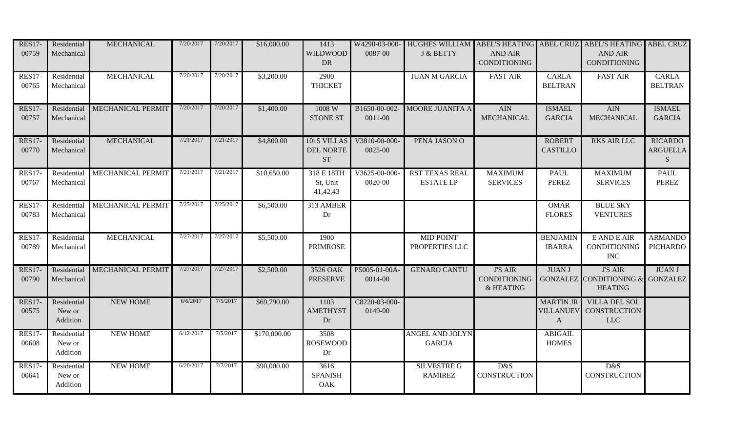| <b>RES17-</b><br>00759 | Residential<br>Mechanical         | <b>MECHANICAL</b>        | 7/20/2017 | 7/20/2017 | \$16,000.00  | 1413<br><b>WILDWOOD</b><br><b>DR</b>  | 0087-00                  | W4290-03-000- HUGHES WILLIAM ABEL'S HEATING ABEL CRUZ ABEL'S HEATING ABEL CRUZ<br>J & BETTY | <b>AND AIR</b><br><b>CONDITIONING</b>              |                                  | <b>AND AIR</b><br><b>CONDITIONING</b>                                |                                         |
|------------------------|-----------------------------------|--------------------------|-----------|-----------|--------------|---------------------------------------|--------------------------|---------------------------------------------------------------------------------------------|----------------------------------------------------|----------------------------------|----------------------------------------------------------------------|-----------------------------------------|
| <b>RES17-</b><br>00765 | Residential<br>Mechanical         | <b>MECHANICAL</b>        | 7/20/2017 | 7/20/2017 | \$3,200.00   | 2900<br><b>THICKET</b>                |                          | <b>JUAN M GARCIA</b>                                                                        | <b>FAST AIR</b>                                    | <b>CARLA</b><br><b>BELTRAN</b>   | <b>FAST AIR</b>                                                      | <b>CARLA</b><br><b>BELTRAN</b>          |
| <b>RES17-</b><br>00757 | Residential<br>Mechanical         | MECHANICAL PERMIT        | 7/20/2017 | 7/20/2017 | \$1,400.00   | 1008 W<br><b>STONE ST</b>             | B1650-00-002-<br>0011-00 | MOORE JUANITA A                                                                             | <b>AIN</b><br><b>MECHANICAL</b>                    | <b>ISMAEL</b><br><b>GARCIA</b>   | <b>AIN</b><br><b>MECHANICAL</b>                                      | <b>ISMAEL</b><br><b>GARCIA</b>          |
| <b>RES17-</b><br>00770 | Residential<br>Mechanical         | <b>MECHANICAL</b>        | 7/21/2017 | 7/21/2017 | \$4,800.00   | 1015 VILLAS<br>DEL NORTE<br><b>ST</b> | V3810-00-000-<br>0025-00 | PENA JASON O                                                                                |                                                    | <b>ROBERT</b><br><b>CASTILLO</b> | <b>RKS AIR LLC</b>                                                   | <b>RICARDO</b><br><b>ARGUELLA</b><br>S. |
| <b>RES17-</b><br>00767 | Residential<br>Mechanical         | <b>MECHANICAL PERMIT</b> | 7/21/2017 | 7/21/2017 | \$10,650.00  | 318 E 18TH<br>St, Unit<br>41,42,43    | V3625-00-000-<br>0020-00 | <b>RST TEXAS REAL</b><br><b>ESTATE LP</b>                                                   | <b>MAXIMUM</b><br><b>SERVICES</b>                  | PAUL<br><b>PEREZ</b>             | <b>MAXIMUM</b><br><b>SERVICES</b>                                    | <b>PAUL</b><br><b>PEREZ</b>             |
| <b>RES17-</b><br>00783 | Residential<br>Mechanical         | MECHANICAL PERMIT        | 7/25/2017 | 7/25/2017 | \$6,500.00   | 313 AMBER<br>Dr                       |                          |                                                                                             |                                                    | <b>OMAR</b><br><b>FLORES</b>     | <b>BLUE SKY</b><br><b>VENTURES</b>                                   |                                         |
| <b>RES17-</b><br>00789 | Residential<br>Mechanical         | <b>MECHANICAL</b>        | 7/27/2017 | 7/27/2017 | \$5,500.00   | 1900<br><b>PRIMROSE</b>               |                          | <b>MID POINT</b><br>PROPERTIES LLC                                                          |                                                    | <b>BENJAMIN</b><br><b>IBARRA</b> | E AND E AIR<br>CONDITIONING<br><b>INC</b>                            | <b>ARMANDO</b><br><b>PICHARDO</b>       |
| <b>RES17-</b><br>00790 | Residential<br>Mechanical         | <b>MECHANICAL PERMIT</b> | 7/27/2017 | 7/27/2017 | \$2,500.00   | 3526 OAK<br><b>PRESERVE</b>           | P5005-01-00A<br>0014-00  | <b>GENARO CANTU</b>                                                                         | <b>J'S AIR</b><br><b>CONDITIONING</b><br>& HEATING | <b>JUAN J</b>                    | <b>J'S AIR</b><br>GONZALEZ CONDITIONING & GONZALEZ<br><b>HEATING</b> | <b>JUAN J</b>                           |
| <b>RES17-</b><br>00575 | Residential<br>New or<br>Addition | <b>NEW HOME</b>          | 6/6/2017  | 7/5/2017  | \$69,790.00  | 1103<br><b>AMETHYST</b><br>Dr         | C8220-03-000-<br>0149-00 |                                                                                             |                                                    | <b>MARTIN JR</b><br>$\mathbf{A}$ | <b>VILLA DEL SOL</b><br><b>VILLANUEV CONSTRUCTION</b><br><b>LLC</b>  |                                         |
| <b>RES17-</b><br>00608 | Residential<br>New or<br>Addition | <b>NEW HOME</b>          | 6/12/2017 | 7/5/2017  | \$170,000.00 | 3508<br><b>ROSEWOOD</b><br>Dr         |                          | <b>ANGEL AND JOLYN</b><br><b>GARCIA</b>                                                     |                                                    | <b>ABIGAIL</b><br><b>HOMES</b>   |                                                                      |                                         |
| <b>RES17-</b><br>00641 | Residential<br>New or<br>Addition | <b>NEW HOME</b>          | 6/20/2017 | 7/7/2017  | \$90,000.00  | 3616<br><b>SPANISH</b><br>OAK         |                          | <b>SILVESTRE G</b><br><b>RAMIREZ</b>                                                        | D&S<br><b>CONSTRUCTION</b>                         |                                  | D&S<br><b>CONSTRUCTION</b>                                           |                                         |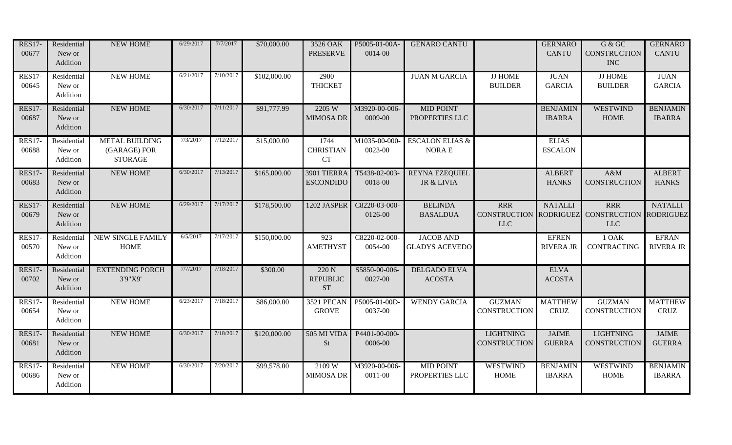| <b>RES17-</b><br>00677 | Residential<br>New or<br>Addition | NEW HOME                                                | 6/29/2017 | 7/7/2017  | \$70,000.00  | 3526 OAK<br><b>PRESERVE</b>           | P5005-01-00A-<br>0014-00 | <b>GENARO CANTU</b>                        |                                         | <b>GERNARO</b><br><b>CANTU</b>   | ${\rm G}$ & ${\rm G}{\rm C}$<br><b>CONSTRUCTION</b><br><b>INC</b> | <b>GERNARO</b><br><b>CANTU</b>     |
|------------------------|-----------------------------------|---------------------------------------------------------|-----------|-----------|--------------|---------------------------------------|--------------------------|--------------------------------------------|-----------------------------------------|----------------------------------|-------------------------------------------------------------------|------------------------------------|
| <b>RES17-</b><br>00645 | Residential<br>New or<br>Addition | <b>NEW HOME</b>                                         | 6/21/2017 | 7/10/2017 | \$102,000.00 | 2900<br><b>THICKET</b>                |                          | <b>JUAN M GARCIA</b>                       | <b>JJ HOME</b><br><b>BUILDER</b>        | <b>JUAN</b><br><b>GARCIA</b>     | <b>JJ HOME</b><br><b>BUILDER</b>                                  | <b>JUAN</b><br><b>GARCIA</b>       |
| <b>RES17-</b><br>00687 | Residential<br>New or<br>Addition | <b>NEW HOME</b>                                         | 6/30/2017 | 7/11/2017 | \$91,777.99  | 2205 W<br><b>MIMOSA DR</b>            | M3920-00-006-<br>0009-00 | <b>MID POINT</b><br>PROPERTIES LLC         |                                         | <b>BENJAMIN</b><br><b>IBARRA</b> | <b>WESTWIND</b><br><b>HOME</b>                                    | <b>BENJAMIN</b><br><b>IBARRA</b>   |
| <b>RES17-</b><br>00688 | Residential<br>New or<br>Addition | <b>METAL BUILDING</b><br>(GARAGE) FOR<br><b>STORAGE</b> | 7/3/2017  | 7/12/2017 | \$15,000.00  | 1744<br><b>CHRISTIAN</b><br><b>CT</b> | M1035-00-000<br>0023-00  | <b>ESCALON ELIAS &amp;</b><br><b>NORAE</b> |                                         | <b>ELIAS</b><br><b>ESCALON</b>   |                                                                   |                                    |
| <b>RES17-</b><br>00683 | Residential<br>New or<br>Addition | <b>NEW HOME</b>                                         | 6/30/2017 | 7/13/2017 | \$165,000.00 | 3901 TIERRA<br><b>ESCONDIDO</b>       | T5438-02-003-<br>0018-00 | <b>REYNA EZEQUIEL</b><br>JR & LIVIA        |                                         | <b>ALBERT</b><br><b>HANKS</b>    | A&M<br><b>CONSTRUCTION</b>                                        | <b>ALBERT</b><br><b>HANKS</b>      |
| <b>RES17-</b><br>00679 | Residential<br>New or<br>Addition | <b>NEW HOME</b>                                         | 6/29/2017 | 7/17/2017 | \$178,500.00 | 1202 JASPER                           | C8220-03-000-<br>0126-00 | <b>BELINDA</b><br><b>BASALDUA</b>          | <b>RRR</b><br><b>LLC</b>                | <b>NATALLI</b>                   | <b>RRR</b><br>CONSTRUCTION RODRIGUEZ CONSTRUCTION<br><b>LLC</b>   | <b>NATALLI</b><br><b>RODRIGUEZ</b> |
| <b>RES17-</b><br>00570 | Residential<br>New or<br>Addition | <b>NEW SINGLE FAMILY</b><br><b>HOME</b>                 | 6/5/2017  | 7/17/2017 | \$150,000.00 | 923<br><b>AMETHYST</b>                | C8220-02-000-<br>0054-00 | <b>JACOB AND</b><br><b>GLADYS ACEVEDO</b>  |                                         | <b>EFREN</b><br><b>RIVERA JR</b> | 10AK<br><b>CONTRACTING</b>                                        | <b>EFRAN</b><br><b>RIVERA JR</b>   |
| <b>RES17-</b><br>00702 | Residential<br>New or<br>Addition | <b>EXTENDING PORCH</b><br>3'9"X9'                       | 7/7/2017  | 7/18/2017 | \$300.00     | 220 N<br><b>REPUBLIC</b><br><b>ST</b> | S5850-00-006-<br>0027-00 | <b>DELGADO ELVA</b><br><b>ACOSTA</b>       |                                         | <b>ELVA</b><br><b>ACOSTA</b>     |                                                                   |                                    |
| <b>RES17-</b><br>00654 | Residential<br>New or<br>Addition | <b>NEW HOME</b>                                         | 6/23/2017 | 7/18/2017 | \$86,000.00  | 3521 PECAN<br><b>GROVE</b>            | P5005-01-00D-<br>0037-00 | <b>WENDY GARCIA</b>                        | <b>GUZMAN</b><br><b>CONSTRUCTION</b>    | <b>MATTHEW</b><br><b>CRUZ</b>    | <b>GUZMAN</b><br><b>CONSTRUCTION</b>                              | <b>MATTHEW</b><br><b>CRUZ</b>      |
| <b>RES17-</b><br>00681 | Residential<br>New or<br>Addition | <b>NEW HOME</b>                                         | 6/30/2017 | 7/18/2017 | \$120,000.00 | <b>505 MI VIDA</b><br><b>St</b>       | P4401-00-000-<br>0006-00 |                                            | <b>LIGHTNING</b><br><b>CONSTRUCTION</b> | <b>JAIME</b><br><b>GUERRA</b>    | <b>LIGHTNING</b><br><b>CONSTRUCTION</b>                           | <b>JAIME</b><br><b>GUERRA</b>      |
| <b>RES17-</b><br>00686 | Residential<br>New or<br>Addition | <b>NEW HOME</b>                                         | 6/30/2017 | 7/20/2017 | \$99,578.00  | 2109W<br><b>MIMOSA DR</b>             | M3920-00-006-<br>0011-00 | <b>MID POINT</b><br>PROPERTIES LLC         | <b>WESTWIND</b><br><b>HOME</b>          | <b>BENJAMIN</b><br><b>IBARRA</b> | <b>WESTWIND</b><br><b>HOME</b>                                    | <b>BENJAMIN</b><br><b>IBARRA</b>   |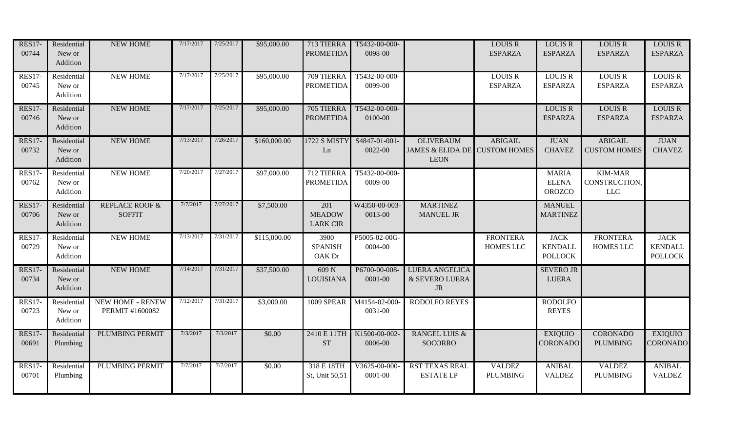| <b>RES17-</b><br>00744 | Residential<br>New or<br>Addition | NEW HOME                                   | 7/17/2017 | 7/25/2017 | \$95,000.00  | 713 TIERRA<br><b>PROMETIDA</b>          | T5432-00-000-<br>0098-00     |                                                                  | <b>LOUIS R</b><br><b>ESPARZA</b>    | <b>LOUIS R</b><br><b>ESPARZA</b>                | <b>LOUIS R</b><br><b>ESPARZA</b>              | <b>LOUIS R</b><br><b>ESPARZA</b>                |
|------------------------|-----------------------------------|--------------------------------------------|-----------|-----------|--------------|-----------------------------------------|------------------------------|------------------------------------------------------------------|-------------------------------------|-------------------------------------------------|-----------------------------------------------|-------------------------------------------------|
| <b>RES17-</b><br>00745 | Residential<br>New or<br>Addition | <b>NEW HOME</b>                            | 7/17/2017 | 7/25/2017 | \$95,000.00  | 709 TIERRA<br><b>PROMETIDA</b>          | T5432-00-000-<br>0099-00     |                                                                  | <b>LOUIS R</b><br><b>ESPARZA</b>    | <b>LOUIS R</b><br><b>ESPARZA</b>                | <b>LOUIS R</b><br><b>ESPARZA</b>              | <b>LOUIS R</b><br><b>ESPARZA</b>                |
| <b>RES17-</b><br>00746 | Residential<br>New or<br>Addition | NEW HOME                                   | 7/17/2017 | 7/25/2017 | \$95,000.00  | 705 TIERRA<br><b>PROMETIDA</b>          | T5432-00-000-<br>0100-00     |                                                                  |                                     | <b>LOUIS R</b><br><b>ESPARZA</b>                | <b>LOUIS R</b><br><b>ESPARZA</b>              | <b>LOUIS R</b><br><b>ESPARZA</b>                |
| <b>RES17-</b><br>00732 | Residential<br>New or<br>Addition | <b>NEW HOME</b>                            | 7/13/2017 | 7/26/2017 | \$160,000.00 | 1722 S MISTY<br>Ln                      | S4847-01-001-<br>0022-00     | <b>OLIVEBAUM</b><br>JAMES & ELIDA DE CUSTOM HOMES<br><b>LEON</b> | <b>ABIGAIL</b>                      | <b>JUAN</b><br><b>CHAVEZ</b>                    | <b>ABIGAIL</b><br><b>CUSTOM HOMES</b>         | <b>JUAN</b><br><b>CHAVEZ</b>                    |
| <b>RES17-</b><br>00762 | Residential<br>New or<br>Addition | <b>NEW HOME</b>                            | 7/20/2017 | 7/27/2017 | \$97,000.00  | 712 TIERRA<br><b>PROMETIDA</b>          | T5432-00-000-<br>0009-00     |                                                                  |                                     | <b>MARIA</b><br><b>ELENA</b><br><b>OROZCO</b>   | <b>KIM-MAR</b><br>CONSTRUCTION,<br><b>LLC</b> |                                                 |
| <b>RES17-</b><br>00706 | Residential<br>New or<br>Addition | <b>REPLACE ROOF &amp;</b><br><b>SOFFIT</b> | 7/7/2017  | 7/27/2017 | \$7,500.00   | 201<br><b>MEADOW</b><br><b>LARK CIR</b> | W4350-00-003-<br>0013-00     | <b>MARTINEZ</b><br><b>MANUEL JR</b>                              |                                     | <b>MANUEL</b><br><b>MARTINEZ</b>                |                                               |                                                 |
| <b>RES17-</b><br>00729 | Residential<br>New or<br>Addition | <b>NEW HOME</b>                            | 7/13/2017 | 7/31/2017 | \$115,000.00 | 3900<br><b>SPANISH</b><br>OAK Dr        | P5005-02-00G-<br>0004-00     |                                                                  | <b>FRONTERA</b><br><b>HOMES LLC</b> | <b>JACK</b><br><b>KENDALL</b><br><b>POLLOCK</b> | <b>FRONTERA</b><br>HOMES LLC                  | <b>JACK</b><br><b>KENDALL</b><br><b>POLLOCK</b> |
| <b>RES17-</b><br>00734 | Residential<br>New or<br>Addition | <b>NEW HOME</b>                            | 7/14/2017 | 7/31/2017 | \$37,500.00  | 609 N<br>LOUISIANA                      | P6700-00-008-<br>$0001 - 00$ | <b>LUERA ANGELICA</b><br>& SEVERO LUERA<br><b>JR</b>             |                                     | <b>SEVERO JR</b><br><b>LUERA</b>                |                                               |                                                 |
| <b>RES17-</b><br>00723 | Residential<br>New or<br>Addition | <b>NEW HOME - RENEW</b><br>PERMIT #1600082 | 7/12/2017 | 7/31/2017 | \$3,000.00   | <b>1009 SPEAR</b>                       | M4154-02-000-<br>0031-00     | <b>RODOLFO REYES</b>                                             |                                     | <b>RODOLFO</b><br><b>REYES</b>                  |                                               |                                                 |
| <b>RES17-</b><br>00691 | Residential<br>Plumbing           | PLUMBING PERMIT                            | 7/3/2017  | 7/3/2017  | \$0.00       | 2410 E 11TH<br><b>ST</b>                | K1500-00-002-<br>0006-00     | <b>RANGEL LUIS &amp;</b><br><b>SOCORRO</b>                       |                                     | <b>EXIQUIO</b><br><b>CORONADO</b>               | <b>CORONADO</b><br><b>PLUMBING</b>            | <b>EXIQUIO</b><br><b>CORONADO</b>               |
| <b>RES17-</b><br>00701 | Residential<br>Plumbing           | PLUMBING PERMIT                            | 7/7/2017  | 7/7/2017  | \$0.00       | 318 E 18TH<br>St, Unit 50,51            | V3625-00-000-<br>$0001 - 00$ | <b>RST TEXAS REAL</b><br><b>ESTATE LP</b>                        | <b>VALDEZ</b><br><b>PLUMBING</b>    | <b>ANIBAL</b><br><b>VALDEZ</b>                  | <b>VALDEZ</b><br><b>PLUMBING</b>              | <b>ANIBAL</b><br><b>VALDEZ</b>                  |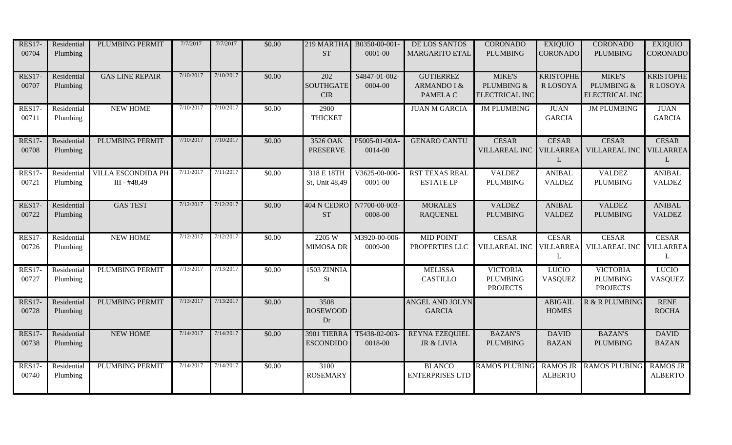| <b>RES17-</b><br>00704 | Residential<br>Plumbing | PLUMBING PERMIT                           | 7/7/2017  | 7/7/2017  | \$0.00 | 219 MARTHA<br><b>ST</b>              | B0350-00-001-<br>0001-00 | DE LOS SANTOS<br><b>MARGARITO ETAL</b>      | <b>CORONADO</b><br><b>PLUMBING</b>                    | <b>EXIQUIO</b><br><b>CORONADO</b>     | <b>CORONADO</b><br><b>PLUMBING</b>                    | <b>EXIQUIO</b><br><b>CORONADO</b>     |
|------------------------|-------------------------|-------------------------------------------|-----------|-----------|--------|--------------------------------------|--------------------------|---------------------------------------------|-------------------------------------------------------|---------------------------------------|-------------------------------------------------------|---------------------------------------|
| <b>RES17-</b><br>00707 | Residential<br>Plumbing | <b>GAS LINE REPAIR</b>                    | 7/10/2017 | 7/10/2017 | \$0.00 | 202<br><b>SOUTHGATE</b><br>$\rm CIR$ | S4847-01-002-<br>0004-00 | <b>GUTIERREZ</b><br>ARMANDO I &<br>PAMELA C | <b>MIKE'S</b><br>PLUMBING &<br><b>ELECTRICAL INC</b>  | <b>KRISTOPHE</b><br><b>RLOSOYA</b>    | <b>MIKE'S</b><br>PLUMBING &<br><b>ELECTRICAL INC</b>  | <b>KRISTOPHE</b><br>R LOSOYA          |
| <b>RES17-</b><br>00711 | Residential<br>Plumbing | <b>NEW HOME</b>                           | 7/10/2017 | 7/10/2017 | \$0.00 | 2900<br><b>THICKET</b>               |                          | <b>JUAN M GARCIA</b>                        | <b>JM PLUMBING</b>                                    | <b>JUAN</b><br><b>GARCIA</b>          | <b>JM PLUMBING</b>                                    | <b>JUAN</b><br><b>GARCIA</b>          |
| <b>RES17-</b><br>00708 | Residential<br>Plumbing | <b>PLUMBING PERMIT</b>                    | 7/10/2017 | 7/10/2017 | \$0.00 | 3526 OAK<br><b>PRESERVE</b>          | P5005-01-00A<br>0014-00  | <b>GENARO CANTU</b>                         | <b>CESAR</b><br><b>VILLAREAL INC</b>                  | <b>CESAR</b><br><b>VILLARREA</b><br>L | <b>CESAR</b><br><b>VILLAREAL INC</b>                  | <b>CESAR</b><br><b>VILLARREA</b><br>L |
| <b>RES17-</b><br>00721 | Residential<br>Plumbing | <b>VILLA ESCONDIDA PH</b><br>III - #48,49 | 7/11/2017 | 7/11/2017 | \$0.00 | 318 E 18TH<br>St, Unit 48,49         | V3625-00-000-<br>0001-00 | <b>RST TEXAS REAL</b><br><b>ESTATE LP</b>   | <b>VALDEZ</b><br><b>PLUMBING</b>                      | <b>ANIBAL</b><br><b>VALDEZ</b>        | <b>VALDEZ</b><br><b>PLUMBING</b>                      | <b>ANIBAL</b><br><b>VALDEZ</b>        |
| <b>RES17-</b><br>00722 | Residential<br>Plumbing | <b>GAS TEST</b>                           | 7/12/2017 | 7/12/2017 | \$0.00 | 404 N CEDRO<br><b>ST</b>             | N7700-00-003-<br>0008-00 | <b>MORALES</b><br><b>RAQUENEL</b>           | <b>VALDEZ</b><br><b>PLUMBING</b>                      | <b>ANIBAL</b><br><b>VALDEZ</b>        | <b>VALDEZ</b><br><b>PLUMBING</b>                      | <b>ANIBAL</b><br><b>VALDEZ</b>        |
| <b>RES17-</b><br>00726 | Residential<br>Plumbing | <b>NEW HOME</b>                           | 7/12/2017 | 7/12/2017 | \$0.00 | 2205 W<br><b>MIMOSA DR</b>           | M3920-00-006-<br>0009-00 | <b>MID POINT</b><br>PROPERTIES LLC          | <b>CESAR</b><br><b>VILLAREAL INC</b>                  | <b>CESAR</b><br><b>VILLARREA</b><br>L | <b>CESAR</b><br><b>VILLAREAL INC</b>                  | <b>CESAR</b><br><b>VILLARREA</b><br>L |
| <b>RES17-</b><br>00727 | Residential<br>Plumbing | <b>PLUMBING PERMIT</b>                    | 7/13/2017 | 7/13/2017 | \$0.00 | 1503 ZINNIA<br><b>St</b>             |                          | <b>MELISSA</b><br><b>CASTILLO</b>           | <b>VICTORIA</b><br><b>PLUMBING</b><br><b>PROJECTS</b> | <b>LUCIO</b><br><b>VASQUEZ</b>        | <b>VICTORIA</b><br><b>PLUMBING</b><br><b>PROJECTS</b> | <b>LUCIO</b><br><b>VASQUEZ</b>        |
| <b>RES17-</b><br>00728 | Residential<br>Plumbing | <b>PLUMBING PERMIT</b>                    | 7/13/2017 | 7/13/2017 | \$0.00 | 3508<br><b>ROSEWOOD</b><br>Dr        |                          | <b>ANGEL AND JOLYN</b><br><b>GARCIA</b>     |                                                       | <b>ABIGAIL</b><br><b>HOMES</b>        | <b>R &amp; R PLUMBING</b>                             | <b>RENE</b><br><b>ROCHA</b>           |
| <b>RES17-</b><br>00738 | Residential<br>Plumbing | <b>NEW HOME</b>                           | 7/14/2017 | 7/14/2017 | \$0.00 | 3901 TIERRA<br><b>ESCONDIDO</b>      | T5438-02-003-<br>0018-00 | <b>REYNA EZEQUIEL</b><br>JR & LIVIA         | <b>BAZAN'S</b><br><b>PLUMBING</b>                     | <b>DAVID</b><br><b>BAZAN</b>          | <b>BAZAN'S</b><br><b>PLUMBING</b>                     | <b>DAVID</b><br><b>BAZAN</b>          |
| <b>RES17-</b><br>00740 | Residential<br>Plumbing | PLUMBING PERMIT                           | 7/14/2017 | 7/14/2017 | \$0.00 | 3100<br><b>ROSEMARY</b>              |                          | <b>BLANCO</b><br><b>ENTERPRISES LTD</b>     | <b>RAMOS PLUBING</b>                                  | <b>RAMOS JR</b><br><b>ALBERTO</b>     | <b>RAMOS PLUBING</b>                                  | <b>RAMOS JR</b><br><b>ALBERTO</b>     |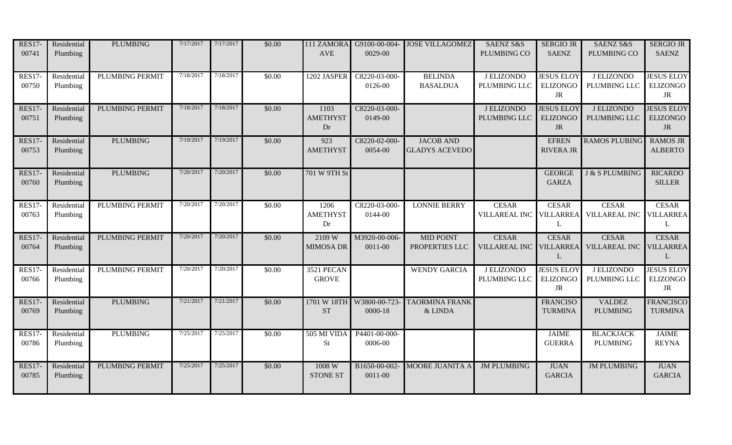| <b>RES17-</b><br>00741 | Residential<br>Plumbing | <b>PLUMBING</b>        | 7/17/2017 | 7/17/2017 | \$0.00 | 111 ZAMORA<br><b>AVE</b>      | 0029-00                  | G9100-00-004- JOSE VILLAGOMEZ             | SAENZ S&S<br>PLUMBING CO                | <b>SERGIO JR</b><br><b>SAENZ</b>                  | SAENZ S&S<br>PLUMBING CO             | <b>SERGIO JR</b><br><b>SAENZ</b>                  |
|------------------------|-------------------------|------------------------|-----------|-----------|--------|-------------------------------|--------------------------|-------------------------------------------|-----------------------------------------|---------------------------------------------------|--------------------------------------|---------------------------------------------------|
| <b>RES17-</b><br>00750 | Residential<br>Plumbing | <b>PLUMBING PERMIT</b> | 7/18/2017 | 7/18/2017 | \$0.00 | 1202 JASPER                   | C8220-03-000-<br>0126-00 | <b>BELINDA</b><br><b>BASALDUA</b>         | J ELIZONDO<br>PLUMBING LLC              | <b>JESUS ELOY</b><br><b>ELIZONGO</b><br><b>JR</b> | J ELIZONDO<br>PLUMBING LLC           | <b>JESUS ELOY</b><br><b>ELIZONGO</b><br><b>JR</b> |
| <b>RES17-</b><br>00751 | Residential<br>Plumbing | PLUMBING PERMIT        | 7/18/2017 | 7/18/2017 | \$0.00 | 1103<br><b>AMETHYST</b><br>Dr | C8220-03-000-<br>0149-00 |                                           | J ELIZONDO<br>PLUMBING LLC              | <b>JESUS ELOY</b><br><b>ELIZONGO</b><br><b>JR</b> | <b>J ELIZONDO</b><br>PLUMBING LLC    | <b>JESUS ELOY</b><br><b>ELIZONGO</b><br><b>JR</b> |
| <b>RES17-</b><br>00753 | Residential<br>Plumbing | <b>PLUMBING</b>        | 7/19/2017 | 7/19/2017 | \$0.00 | 923<br><b>AMETHYST</b>        | C8220-02-000-<br>0054-00 | <b>JACOB AND</b><br><b>GLADYS ACEVEDO</b> |                                         | <b>EFREN</b><br><b>RIVERA JR</b>                  | <b>RAMOS PLUBING</b>                 | <b>RAMOS JR</b><br><b>ALBERTO</b>                 |
| <b>RES17-</b><br>00760 | Residential<br>Plumbing | <b>PLUMBING</b>        | 7/20/2017 | 7/20/2017 | \$0.00 | 701 W 9TH St                  |                          |                                           |                                         | <b>GEORGE</b><br><b>GARZA</b>                     | <b>J &amp; S PLUMBING</b>            | <b>RICARDO</b><br><b>SILLER</b>                   |
| <b>RES17-</b><br>00763 | Residential<br>Plumbing | PLUMBING PERMIT        | 7/20/2017 | 7/20/2017 | \$0.00 | 1206<br><b>AMETHYST</b><br>Dr | C8220-03-000-<br>0144-00 | <b>LONNIE BERRY</b>                       | <b>CESAR</b><br>VILLAREAL INC VILLARREA | <b>CESAR</b><br>L                                 | <b>CESAR</b><br>VILLAREAL INC        | <b>CESAR</b><br><b>VILLARREA</b><br>L             |
| <b>RES17-</b><br>00764 | Residential<br>Plumbing | <b>PLUMBING PERMIT</b> | 7/20/2017 | 7/20/2017 | \$0.00 | 2109 W<br><b>MIMOSA DR</b>    | M3920-00-006-<br>0011-00 | <b>MID POINT</b><br>PROPERTIES LLC        | <b>CESAR</b><br><b>VILLAREAL INC</b>    | <b>CESAR</b><br><b>VILLARREA</b><br>L             | <b>CESAR</b><br><b>VILLAREAL INC</b> | <b>CESAR</b><br><b>VILLARREA</b><br>$\mathbf{L}$  |
| <b>RES17-</b><br>00766 | Residential<br>Plumbing | <b>PLUMBING PERMIT</b> | 7/20/2017 | 7/20/2017 | \$0.00 | 3521 PECAN<br><b>GROVE</b>    |                          | <b>WENDY GARCIA</b>                       | <b>J ELIZONDO</b><br>PLUMBING LLC       | <b>JESUS ELOY</b><br><b>ELIZONGO</b><br>JR        | <b>J ELIZONDO</b><br>PLUMBING LLC    | <b>JESUS ELOY</b><br>ELIZONGO<br>JR               |
| <b>RES17-</b><br>00769 | Residential<br>Plumbing | <b>PLUMBING</b>        | 7/21/2017 | 7/21/2017 | \$0.00 | 1701 W 18TH<br><b>ST</b>      | W3800-00-723-<br>0000-18 | <b>TAORMINA FRANK</b><br>& LINDA          |                                         | <b>FRANCISO</b><br><b>TURMINA</b>                 | <b>VALDEZ</b><br><b>PLUMBING</b>     | <b>FRANCISCO</b><br><b>TURMINA</b>                |
| <b>RES17-</b><br>00786 | Residential<br>Plumbing | <b>PLUMBING</b>        | 7/25/2017 | 7/25/2017 | \$0.00 | 505 MI VIDA<br><b>St</b>      | P4401-00-000-<br>0006-00 |                                           |                                         | <b>JAIME</b><br><b>GUERRA</b>                     | <b>BLACKJACK</b><br><b>PLUMBING</b>  | <b>JAIME</b><br><b>REYNA</b>                      |
| <b>RES17-</b><br>00785 | Residential<br>Plumbing | PLUMBING PERMIT        | 7/25/2017 | 7/25/2017 | \$0.00 | 1008 W<br><b>STONE ST</b>     | B1650-00-002-<br>0011-00 | MOORE JUANITA A                           | <b>JM PLUMBING</b>                      | <b>JUAN</b><br><b>GARCIA</b>                      | <b>JM PLUMBING</b>                   | <b>JUAN</b><br><b>GARCIA</b>                      |